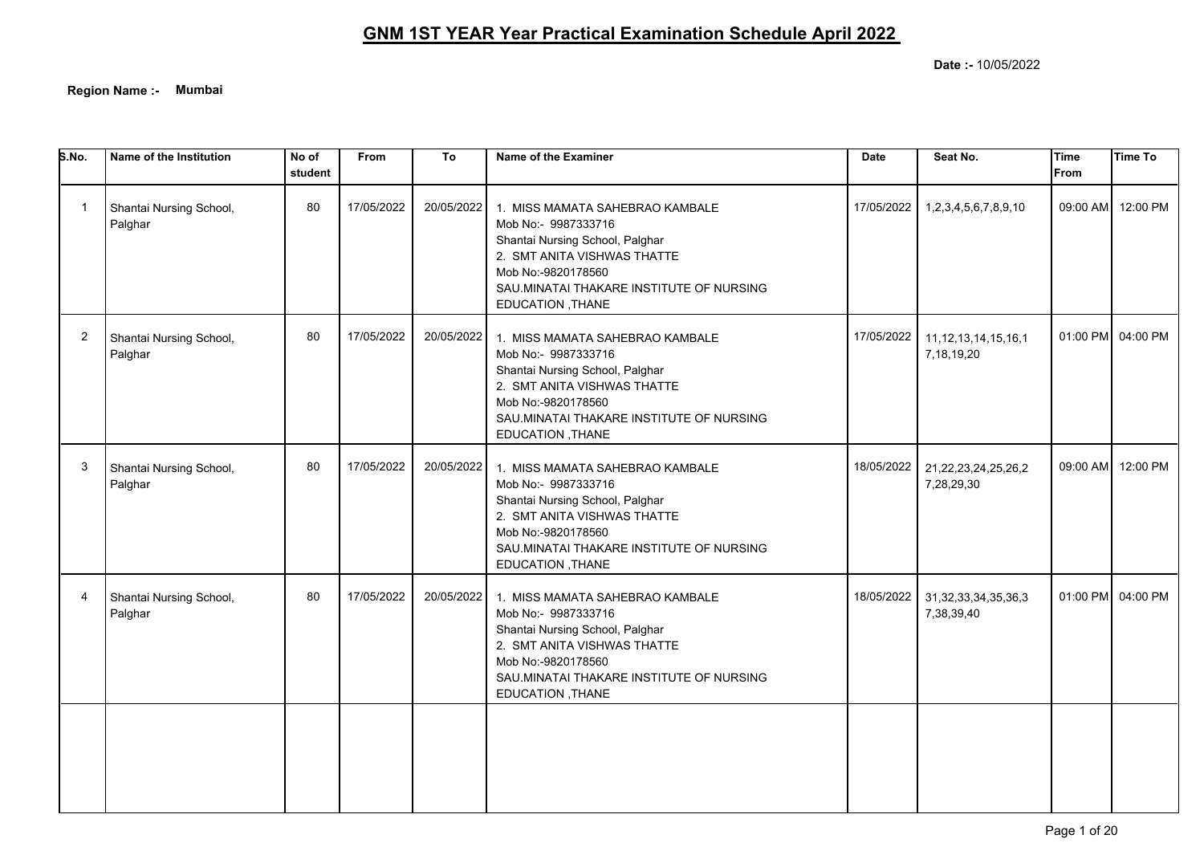**Region Name :- Mumbai**

| S.No.          | Name of the Institution            | No of<br>student | <b>From</b> | To         | Name of the Examiner                                                                                                                                                                                           | <b>Date</b> | Seat No.                                | <b>Time</b><br>From | <b>Time To</b>    |
|----------------|------------------------------------|------------------|-------------|------------|----------------------------------------------------------------------------------------------------------------------------------------------------------------------------------------------------------------|-------------|-----------------------------------------|---------------------|-------------------|
| -1             | Shantai Nursing School,<br>Palghar | 80               | 17/05/2022  | 20/05/2022 | 1. MISS MAMATA SAHEBRAO KAMBALE<br>Mob No:- 9987333716<br>Shantai Nursing School, Palghar<br>2. SMT ANITA VISHWAS THATTE<br>Mob No:-9820178560<br>SAU MINATAI THAKARE INSTITUTE OF NURSING<br>EDUCATION, THANE | 17/05/2022  | 1,2,3,4,5,6,7,8,9,10                    |                     | 09:00 AM 12:00 PM |
| $\overline{2}$ | Shantai Nursing School,<br>Palghar | 80               | 17/05/2022  | 20/05/2022 | 1. MISS MAMATA SAHEBRAO KAMBALE<br>Mob No:- 9987333716<br>Shantai Nursing School, Palghar<br>2. SMT ANITA VISHWAS THATTE<br>Mob No:-9820178560<br>SAU.MINATAI THAKARE INSTITUTE OF NURSING<br>EDUCATION, THANE | 17/05/2022  | 11, 12, 13, 14, 15, 16, 1<br>7,18,19,20 |                     | 01:00 PM 04:00 PM |
| 3              | Shantai Nursing School,<br>Palghar | 80               | 17/05/2022  | 20/05/2022 | 1. MISS MAMATA SAHEBRAO KAMBALE<br>Mob No:- 9987333716<br>Shantai Nursing School, Palghar<br>2. SMT ANITA VISHWAS THATTE<br>Mob No:-9820178560<br>SAU.MINATAI THAKARE INSTITUTE OF NURSING<br>EDUCATION, THANE | 18/05/2022  | 21,22,23,24,25,26,2<br>7,28,29,30       |                     | 09:00 AM 12:00 PM |
| 4              | Shantai Nursing School,<br>Palghar | 80               | 17/05/2022  | 20/05/2022 | 1. MISS MAMATA SAHEBRAO KAMBALE<br>Mob No:- 9987333716<br>Shantai Nursing School, Palghar<br>2. SMT ANITA VISHWAS THATTE<br>Mob No:-9820178560<br>SAU.MINATAI THAKARE INSTITUTE OF NURSING<br>EDUCATION, THANE | 18/05/2022  | 31, 32, 33, 34, 35, 36, 3<br>7,38,39,40 |                     | 01:00 PM 04:00 PM |
|                |                                    |                  |             |            |                                                                                                                                                                                                                |             |                                         |                     |                   |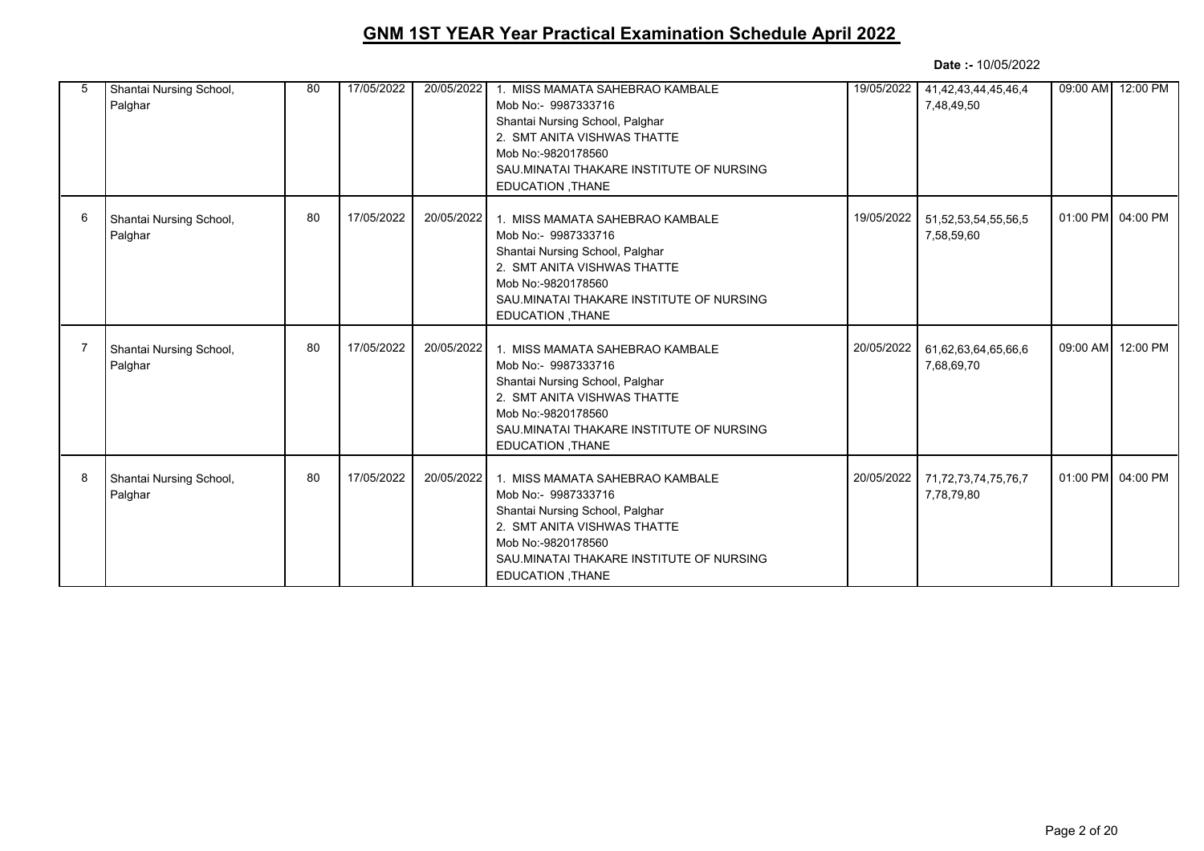| 5 | Shantai Nursing School,<br>Palghar | 80 | 17/05/2022 | 20/05/2022 | 1. MISS MAMATA SAHEBRAO KAMBALE<br>Mob No:- 9987333716<br>Shantai Nursing School, Palghar<br>2. SMT ANITA VISHWAS THATTE<br>Mob No:-9820178560<br>SAU.MINATAI THAKARE INSTITUTE OF NURSING<br>EDUCATION, THANE | 19/05/2022 | 41,42,43,44,45,46,4<br>7,48,49,50 | 09:00 AM 12:00 PM |
|---|------------------------------------|----|------------|------------|----------------------------------------------------------------------------------------------------------------------------------------------------------------------------------------------------------------|------------|-----------------------------------|-------------------|
| 6 | Shantai Nursing School,<br>Palghar | 80 | 17/05/2022 | 20/05/2022 | 1. MISS MAMATA SAHEBRAO KAMBALE<br>Mob No:- 9987333716<br>Shantai Nursing School, Palghar<br>2. SMT ANITA VISHWAS THATTE<br>Mob No:-9820178560<br>SAU.MINATAI THAKARE INSTITUTE OF NURSING<br>EDUCATION, THANE | 19/05/2022 | 51,52,53,54,55,56,5<br>7,58,59,60 | 01:00 PM 04:00 PM |
|   | Shantai Nursing School,<br>Palghar | 80 | 17/05/2022 | 20/05/2022 | 1. MISS MAMATA SAHEBRAO KAMBALE<br>Mob No:- 9987333716<br>Shantai Nursing School, Palghar<br>2. SMT ANITA VISHWAS THATTE<br>Mob No:-9820178560<br>SAU MINATAI THAKARE INSTITUTE OF NURSING<br>EDUCATION, THANE | 20/05/2022 | 61,62,63,64,65,66,6<br>7,68,69,70 | 09:00 AM 12:00 PM |
| 8 | Shantai Nursing School,<br>Palghar | 80 | 17/05/2022 | 20/05/2022 | 1. MISS MAMATA SAHEBRAO KAMBALE<br>Mob No:- 9987333716<br>Shantai Nursing School, Palghar<br>2. SMT ANITA VISHWAS THATTE<br>Mob No:-9820178560<br>SAU.MINATAI THAKARE INSTITUTE OF NURSING<br>EDUCATION, THANE | 20/05/2022 | 71,72,73,74,75,76,7<br>7,78,79,80 | 01:00 PM 04:00 PM |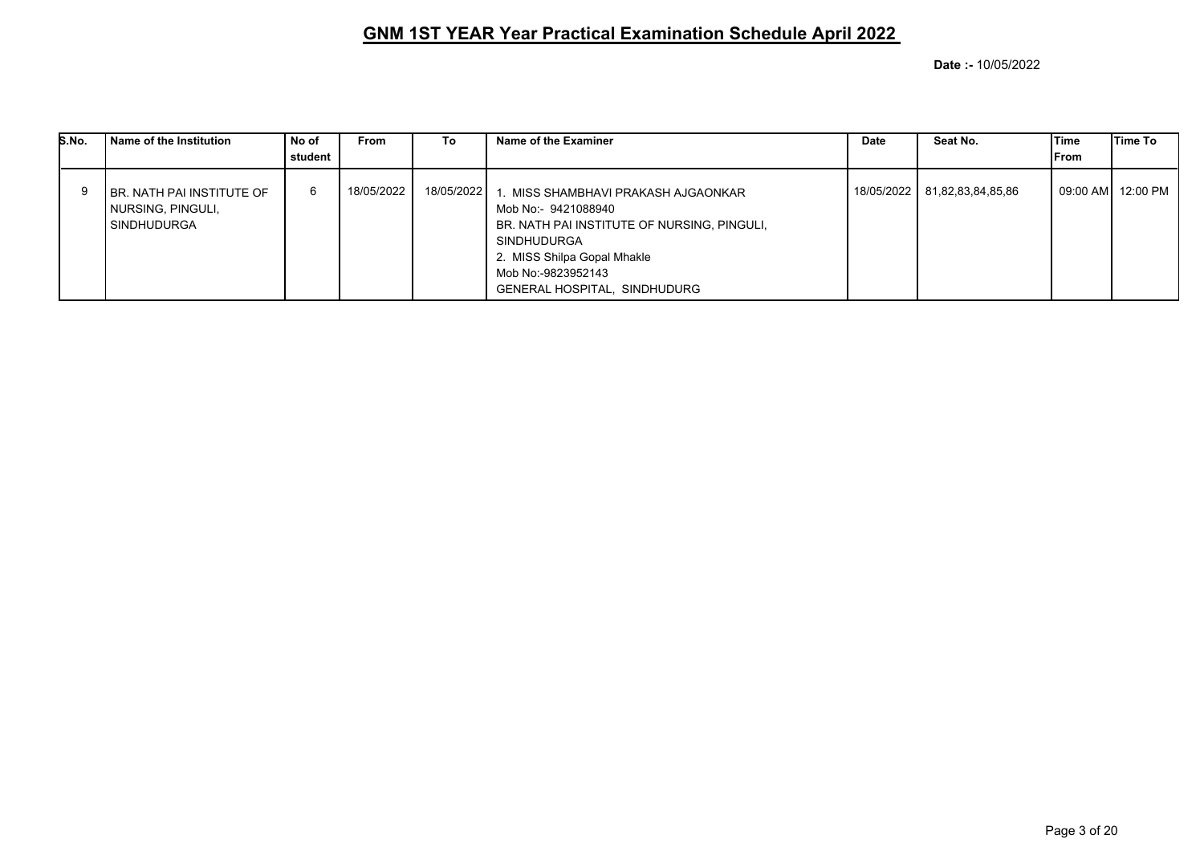| S.No. | Name of the Institution                                              | No of<br>student | <b>From</b> | To         | Name of the Examiner                                                                                                                                                                                                        | Date       | Seat No.          | lTime<br>From | lTime To |
|-------|----------------------------------------------------------------------|------------------|-------------|------------|-----------------------------------------------------------------------------------------------------------------------------------------------------------------------------------------------------------------------------|------------|-------------------|---------------|----------|
|       | I BR. NATH PAI INSTITUTE OF<br>  NURSING, PINGULI,<br>  SINDHUDURGA_ | 6                | 18/05/2022  | 18/05/2022 | 1. MISS SHAMBHAVI PRAKASH AJGAONKAR<br>Mob No:- 9421088940<br>BR. NATH PAI INSTITUTE OF NURSING, PINGULI,<br><b>SINDHUDURGA</b><br>2. MISS Shilpa Gopal Mhakle<br>Mob No:-9823952143<br><b>GENERAL HOSPITAL, SINDHUDURG</b> | 18/05/2022 | 81,82,83,84,85,86 | 09:00 AM      | 12:00 PM |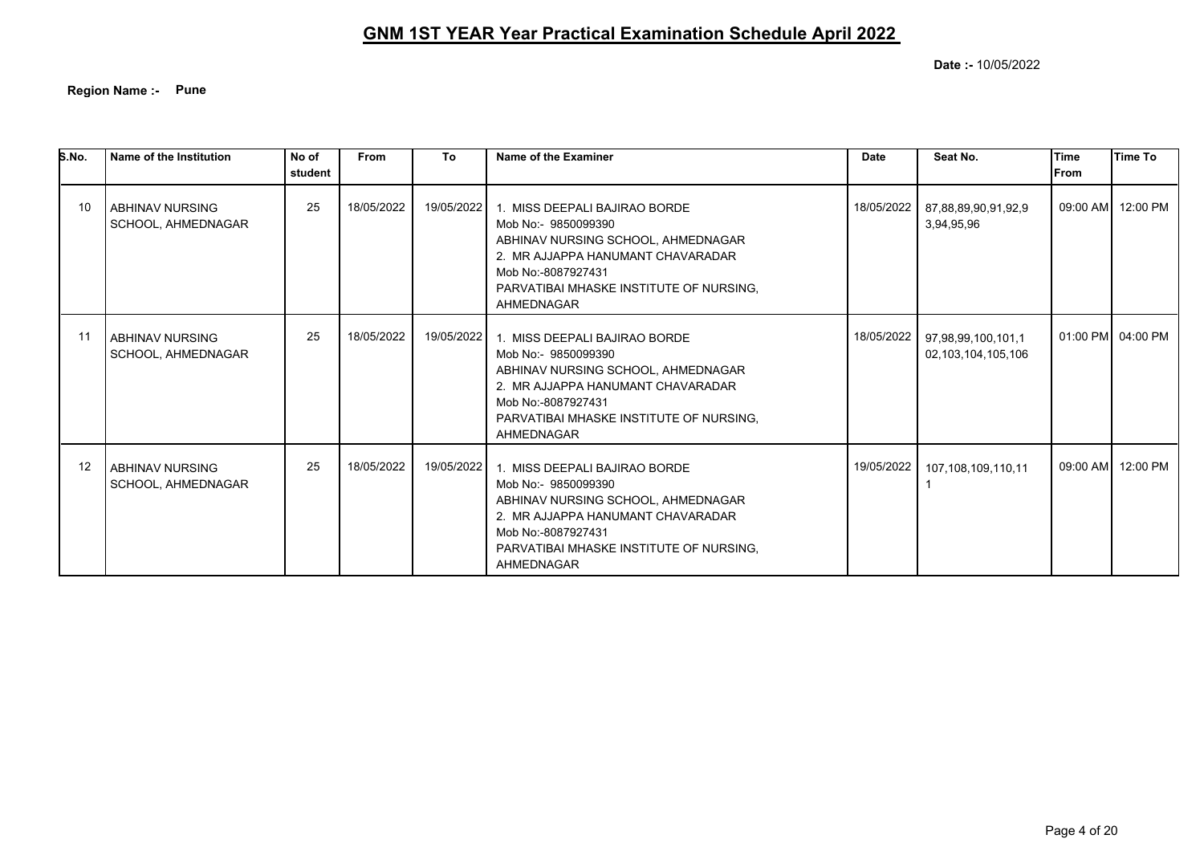**Region Name :- Pune**

| S.No. | Name of the Institution                      | No of<br>student | <b>From</b> | To         | Name of the Examiner                                                                                                                                                                                           | <b>Date</b> | Seat No.                                 | Time<br>l From | <b>Time To</b>    |
|-------|----------------------------------------------|------------------|-------------|------------|----------------------------------------------------------------------------------------------------------------------------------------------------------------------------------------------------------------|-------------|------------------------------------------|----------------|-------------------|
| 10    | <b>ABHINAV NURSING</b><br>SCHOOL, AHMEDNAGAR | 25               | 18/05/2022  | 19/05/2022 | 1. MISS DEEPALI BAJIRAO BORDE<br>Mob No:- 9850099390<br>ABHINAV NURSING SCHOOL, AHMEDNAGAR<br>2. MR AJJAPPA HANUMANT CHAVARADAR<br>Mob No:-8087927431<br>PARVATIBAI MHASKE INSTITUTE OF NURSING.<br>AHMEDNAGAR | 18/05/2022  | 87,88,89,90,91,92,9<br>3,94,95,96        |                | 09:00 AM 12:00 PM |
| -11   | <b>ABHINAV NURSING</b><br>SCHOOL, AHMEDNAGAR | 25               | 18/05/2022  | 19/05/2022 | 1. MISS DEEPALI BAJIRAO BORDE<br>Mob No:- 9850099390<br>ABHINAV NURSING SCHOOL, AHMEDNAGAR<br>2. MR AJJAPPA HANUMANT CHAVARADAR<br>Mob No:-8087927431<br>PARVATIBAI MHASKE INSTITUTE OF NURSING.<br>AHMEDNAGAR | 18/05/2022  | 97,98,99,100,101,1<br>02,103,104,105,106 |                | 01:00 PM 04:00 PM |
| 12    | <b>ABHINAV NURSING</b><br>SCHOOL, AHMEDNAGAR | 25               | 18/05/2022  | 19/05/2022 | 1. MISS DEEPALI BAJIRAO BORDE<br>Mob No:- 9850099390<br>ABHINAV NURSING SCHOOL, AHMEDNAGAR<br>2. MR AJJAPPA HANUMANT CHAVARADAR<br>Mob No:-8087927431<br>PARVATIBAI MHASKE INSTITUTE OF NURSING.<br>AHMEDNAGAR | 19/05/2022  | 107.108.109.110.11                       |                | 09:00 AM 12:00 PM |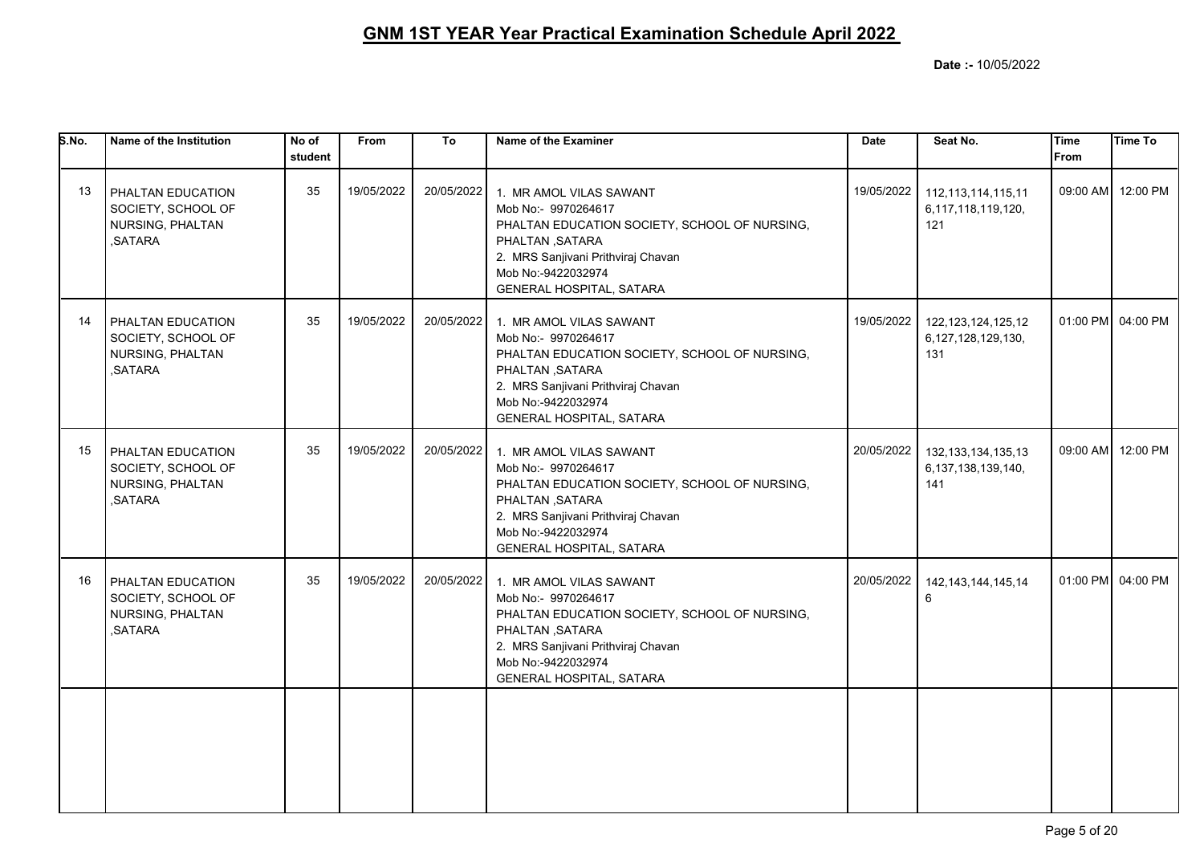| S.No. | Name of the Institution                                                | No of<br>student | From       | To         | Name of the Examiner                                                                                                                                                                                       | <b>Date</b> | Seat No.                                                | lTime<br>l From | Time To           |
|-------|------------------------------------------------------------------------|------------------|------------|------------|------------------------------------------------------------------------------------------------------------------------------------------------------------------------------------------------------------|-------------|---------------------------------------------------------|-----------------|-------------------|
| 13    | PHALTAN EDUCATION<br>SOCIETY, SCHOOL OF<br>NURSING, PHALTAN<br>.SATARA | 35               | 19/05/2022 | 20/05/2022 | 1. MR AMOL VILAS SAWANT<br>Mob No:- 9970264617<br>PHALTAN EDUCATION SOCIETY, SCHOOL OF NURSING,<br>PHALTAN, SATARA<br>2. MRS Sanjivani Prithviraj Chavan<br>Mob No:-9422032974<br>GENERAL HOSPITAL, SATARA | 19/05/2022  | 112, 113, 114, 115, 11<br>6,117,118,119,120,<br>121     |                 | 09:00 AM 12:00 PM |
| 14    | PHALTAN EDUCATION<br>SOCIETY, SCHOOL OF<br>NURSING, PHALTAN<br>,SATARA | 35               | 19/05/2022 | 20/05/2022 | 1. MR AMOL VILAS SAWANT<br>Mob No:- 9970264617<br>PHALTAN EDUCATION SOCIETY, SCHOOL OF NURSING,<br>PHALTAN, SATARA<br>2. MRS Sanjivani Prithviraj Chavan<br>Mob No:-9422032974<br>GENERAL HOSPITAL, SATARA | 19/05/2022  | 122, 123, 124, 125, 12<br>6,127,128,129,130,<br>131     |                 | 01:00 PM 04:00 PM |
| 15    | PHALTAN EDUCATION<br>SOCIETY, SCHOOL OF<br>NURSING, PHALTAN<br>.SATARA | 35               | 19/05/2022 | 20/05/2022 | 1. MR AMOL VILAS SAWANT<br>Mob No:- 9970264617<br>PHALTAN EDUCATION SOCIETY, SCHOOL OF NURSING,<br>PHALTAN, SATARA<br>2. MRS Sanjivani Prithviraj Chavan<br>Mob No:-9422032974<br>GENERAL HOSPITAL, SATARA | 20/05/2022  | 132, 133, 134, 135, 13<br>6, 137, 138, 139, 140,<br>141 | 09:00 AM        | 12:00 PM          |
| 16    | PHALTAN EDUCATION<br>SOCIETY, SCHOOL OF<br>NURSING, PHALTAN<br>,SATARA | 35               | 19/05/2022 | 20/05/2022 | 1. MR AMOL VILAS SAWANT<br>Mob No:- 9970264617<br>PHALTAN EDUCATION SOCIETY, SCHOOL OF NURSING,<br>PHALTAN, SATARA<br>2. MRS Sanjivani Prithviraj Chavan<br>Mob No:-9422032974<br>GENERAL HOSPITAL, SATARA | 20/05/2022  | 142, 143, 144, 145, 14<br>6                             |                 | 01:00 PM 04:00 PM |
|       |                                                                        |                  |            |            |                                                                                                                                                                                                            |             |                                                         |                 |                   |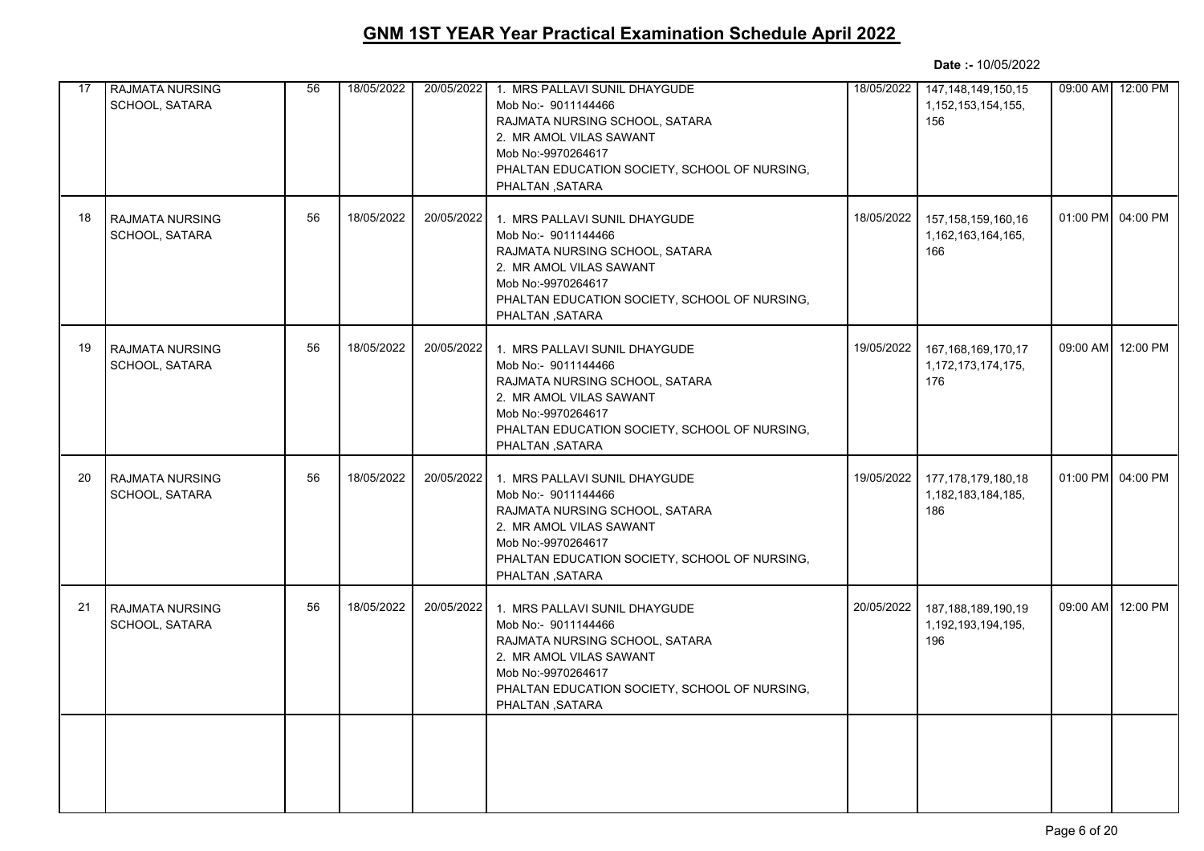| 17 | <b>RAJMATA NURSING</b><br>SCHOOL, SATARA | 56 | 18/05/2022 | 20/05/2022 | 1. MRS PALLAVI SUNIL DHAYGUDE<br>Mob No:- 9011144466<br>RAJMATA NURSING SCHOOL, SATARA<br>2. MR AMOL VILAS SAWANT<br>Mob No:-9970264617<br>PHALTAN EDUCATION SOCIETY, SCHOOL OF NURSING,<br>PHALTAN, SATARA | 18/05/2022 | 147, 148, 149, 150, 15<br>1, 152, 153, 154, 155,<br>156 |          | 09:00 AM 12:00 PM |
|----|------------------------------------------|----|------------|------------|-------------------------------------------------------------------------------------------------------------------------------------------------------------------------------------------------------------|------------|---------------------------------------------------------|----------|-------------------|
| 18 | <b>RAJMATA NURSING</b><br>SCHOOL, SATARA | 56 | 18/05/2022 | 20/05/2022 | 1. MRS PALLAVI SUNIL DHAYGUDE<br>Mob No:- 9011144466<br>RAJMATA NURSING SCHOOL, SATARA<br>2. MR AMOL VILAS SAWANT<br>Mob No:-9970264617<br>PHALTAN EDUCATION SOCIETY, SCHOOL OF NURSING,<br>PHALTAN, SATARA | 18/05/2022 | 157, 158, 159, 160, 16<br>1,162,163,164,165,<br>166     | 01:00 PM | 04:00 PM          |
| 19 | <b>RAJMATA NURSING</b><br>SCHOOL, SATARA | 56 | 18/05/2022 | 20/05/2022 | 1. MRS PALLAVI SUNIL DHAYGUDE<br>Mob No:- 9011144466<br>RAJMATA NURSING SCHOOL, SATARA<br>2. MR AMOL VILAS SAWANT<br>Mob No:-9970264617<br>PHALTAN EDUCATION SOCIETY, SCHOOL OF NURSING,<br>PHALTAN, SATARA | 19/05/2022 | 167, 168, 169, 170, 17<br>1,172,173,174,175,<br>176     | 09:00 AM | 12:00 PM          |
| 20 | <b>RAJMATA NURSING</b><br>SCHOOL, SATARA | 56 | 18/05/2022 | 20/05/2022 | 1. MRS PALLAVI SUNIL DHAYGUDE<br>Mob No:- 9011144466<br>RAJMATA NURSING SCHOOL, SATARA<br>2. MR AMOL VILAS SAWANT<br>Mob No:-9970264617<br>PHALTAN EDUCATION SOCIETY, SCHOOL OF NURSING,<br>PHALTAN, SATARA | 19/05/2022 | 177, 178, 179, 180, 18<br>1,182,183,184,185,<br>186     |          | 01:00 PM 04:00 PM |
| 21 | <b>RAJMATA NURSING</b><br>SCHOOL, SATARA | 56 | 18/05/2022 | 20/05/2022 | 1. MRS PALLAVI SUNIL DHAYGUDE<br>Mob No:- 9011144466<br>RAJMATA NURSING SCHOOL, SATARA<br>2. MR AMOL VILAS SAWANT<br>Mob No:-9970264617<br>PHALTAN EDUCATION SOCIETY, SCHOOL OF NURSING,<br>PHALTAN, SATARA | 20/05/2022 | 187, 188, 189, 190, 19<br>1,192,193,194,195,<br>196     | 09:00 AM | 12:00 PM          |
|    |                                          |    |            |            |                                                                                                                                                                                                             |            |                                                         |          |                   |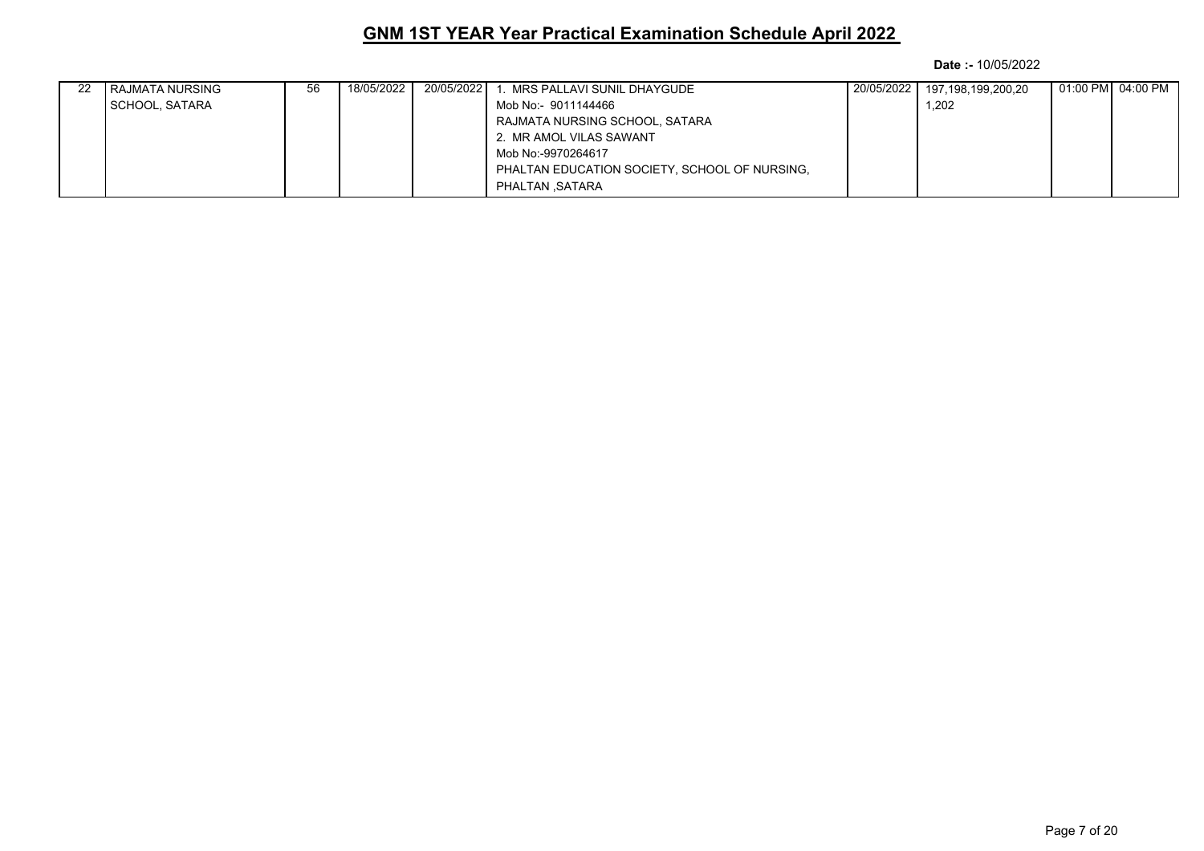| 22 | I RAJMATA NURSING | 56 | 18/05/2022 1 | 20/05/2022 | . MRS PALLAVI SUNIL DHAYGUDE                  | 20/05/2022 | 197,198,199,200,20 |  |
|----|-------------------|----|--------------|------------|-----------------------------------------------|------------|--------------------|--|
|    | SCHOOL, SATARA    |    |              |            | Mob No:- 9011144466                           |            | 1.202              |  |
|    |                   |    |              |            | RAJMATA NURSING SCHOOL, SATARA                |            |                    |  |
|    |                   |    |              |            | 2. MR AMOL VILAS SAWANT                       |            |                    |  |
|    |                   |    |              |            | Mob No:-9970264617                            |            |                    |  |
|    |                   |    |              |            | PHALTAN EDUCATION SOCIETY, SCHOOL OF NURSING, |            |                    |  |
|    |                   |    |              |            | PHALTAN SATARA                                |            |                    |  |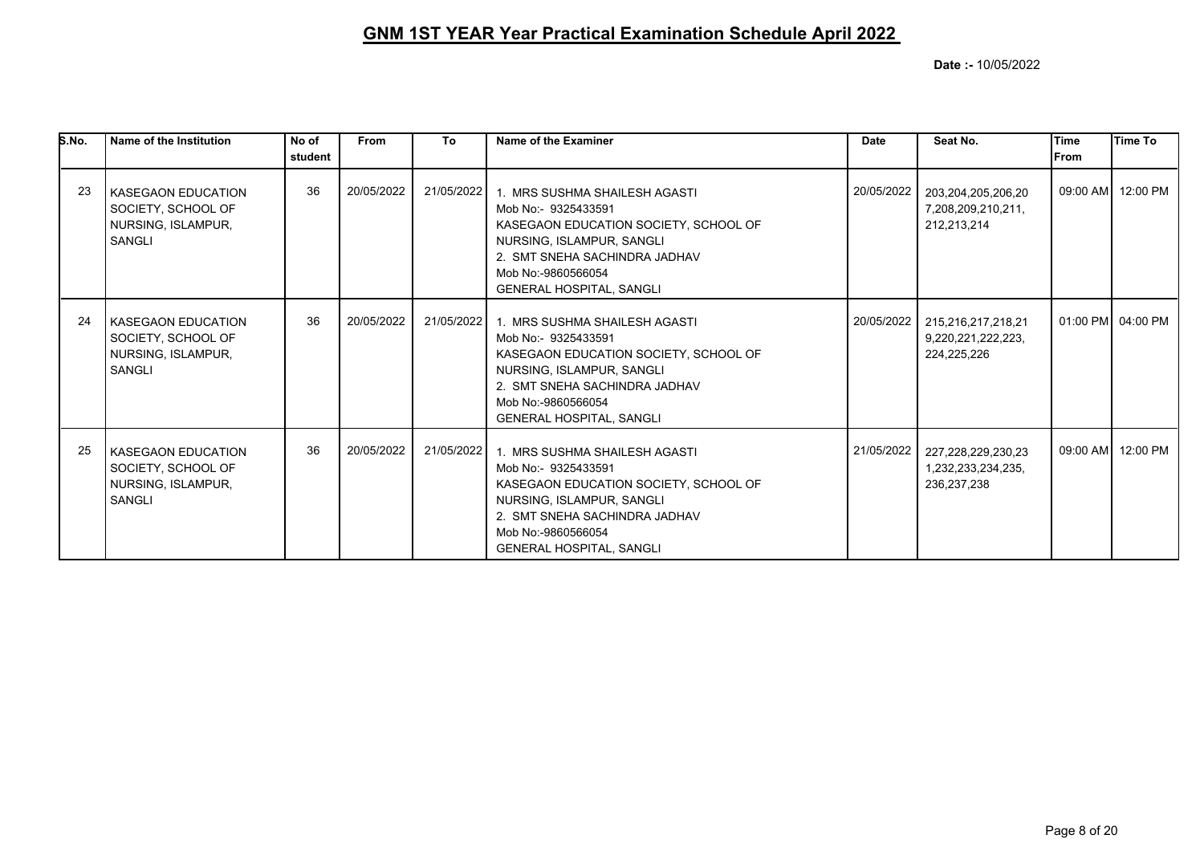| S.No. | Name of the Institution                                                                | No of<br>student | <b>From</b> | To         | Name of the Examiner                                                                                                                                                                                                 | <b>Date</b> | Seat No.                                                  | <b>Time</b><br>From | Time To           |
|-------|----------------------------------------------------------------------------------------|------------------|-------------|------------|----------------------------------------------------------------------------------------------------------------------------------------------------------------------------------------------------------------------|-------------|-----------------------------------------------------------|---------------------|-------------------|
| 23    | <b>KASEGAON EDUCATION</b><br>SOCIETY, SCHOOL OF<br>NURSING, ISLAMPUR,<br><b>SANGLI</b> | 36               | 20/05/2022  | 21/05/2022 | 1. MRS SUSHMA SHAILESH AGASTI<br>Mob No:- 9325433591<br>KASEGAON EDUCATION SOCIETY, SCHOOL OF<br>NURSING, ISLAMPUR, SANGLI<br>2. SMT SNEHA SACHINDRA JADHAV<br>Mob No:-9860566054<br><b>GENERAL HOSPITAL, SANGLI</b> | 20/05/2022  | 203,204,205,206,20<br>7,208,209,210,211,<br>212,213,214   |                     | 09:00 AM 12:00 PM |
| 24    | <b>KASEGAON EDUCATION</b><br>SOCIETY, SCHOOL OF<br>NURSING, ISLAMPUR,<br><b>SANGLI</b> | 36               | 20/05/2022  | 21/05/2022 | 1. MRS SUSHMA SHAILESH AGASTI<br>Mob No:- 9325433591<br>KASEGAON EDUCATION SOCIETY, SCHOOL OF<br>NURSING, ISLAMPUR, SANGLI<br>2. SMT SNEHA SACHINDRA JADHAV<br>Mob No:-9860566054<br><b>GENERAL HOSPITAL, SANGLI</b> | 20/05/2022  | 215,216,217,218,21<br>9,220,221,222,223,<br>224,225,226   |                     | 01:00 PM 04:00 PM |
| 25    | <b>KASEGAON EDUCATION</b><br>SOCIETY, SCHOOL OF<br>NURSING, ISLAMPUR,<br><b>SANGLI</b> | 36               | 20/05/2022  | 21/05/2022 | 1. MRS SUSHMA SHAILESH AGASTI<br>Mob No:- 9325433591<br>KASEGAON EDUCATION SOCIETY, SCHOOL OF<br>NURSING, ISLAMPUR, SANGLI<br>2. SMT SNEHA SACHINDRA JADHAV<br>Mob No:-9860566054<br><b>GENERAL HOSPITAL, SANGLI</b> | 21/05/2022  | 227,228,229,230,23<br>1,232,233,234,235,<br>236, 237, 238 |                     | 09:00 AM 12:00 PM |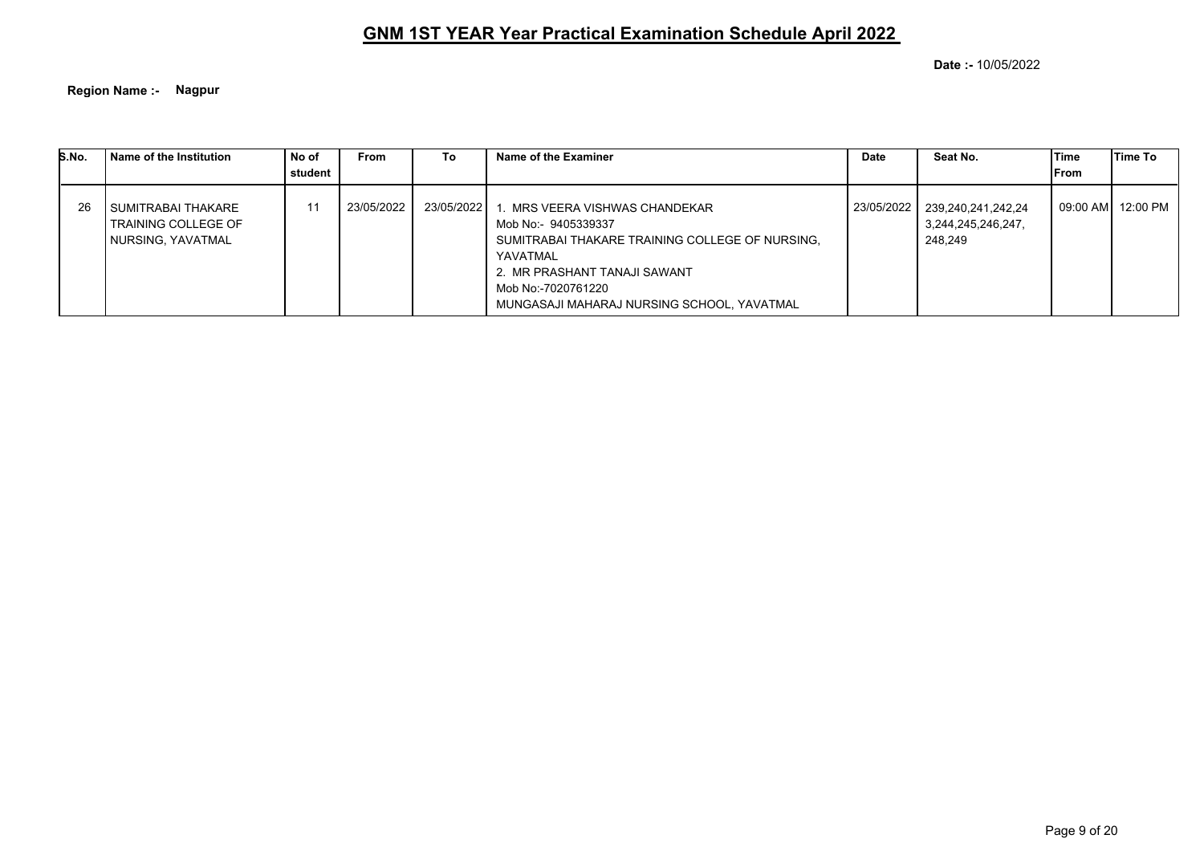**Date :-** 10/05/2022

**Region Name :- Nagpur**

| S.No. | Name of the Institution                                                   | No of<br>l student | <b>From</b> | To.          | Name of the Examiner                                                                                                                                                                                                     | <b>Date</b> | Seat No.                                            | Time<br>From | Time To  |
|-------|---------------------------------------------------------------------------|--------------------|-------------|--------------|--------------------------------------------------------------------------------------------------------------------------------------------------------------------------------------------------------------------------|-------------|-----------------------------------------------------|--------------|----------|
| 26    | I SUMITRABAI THAKARE<br><b>TRAINING COLLEGE OF</b><br>  NURSING, YAVATMAL |                    | 23/05/2022  | 23/05/2022 1 | . MRS VEERA VISHWAS CHANDEKAR.<br>Mob No:- 9405339337<br>SUMITRABAI THAKARE TRAINING COLLEGE OF NURSING.<br>YAVATMAL<br>2. MR PRASHANT TANAJI SAWANT<br>Mob No:-7020761220<br>MUNGASAJI MAHARAJ NURSING SCHOOL, YAVATMAL | 23/05/2022  | 239.240.241.242.24<br>3,244,245,246,247,<br>248.249 | 09:00 AM     | 12:00 PM |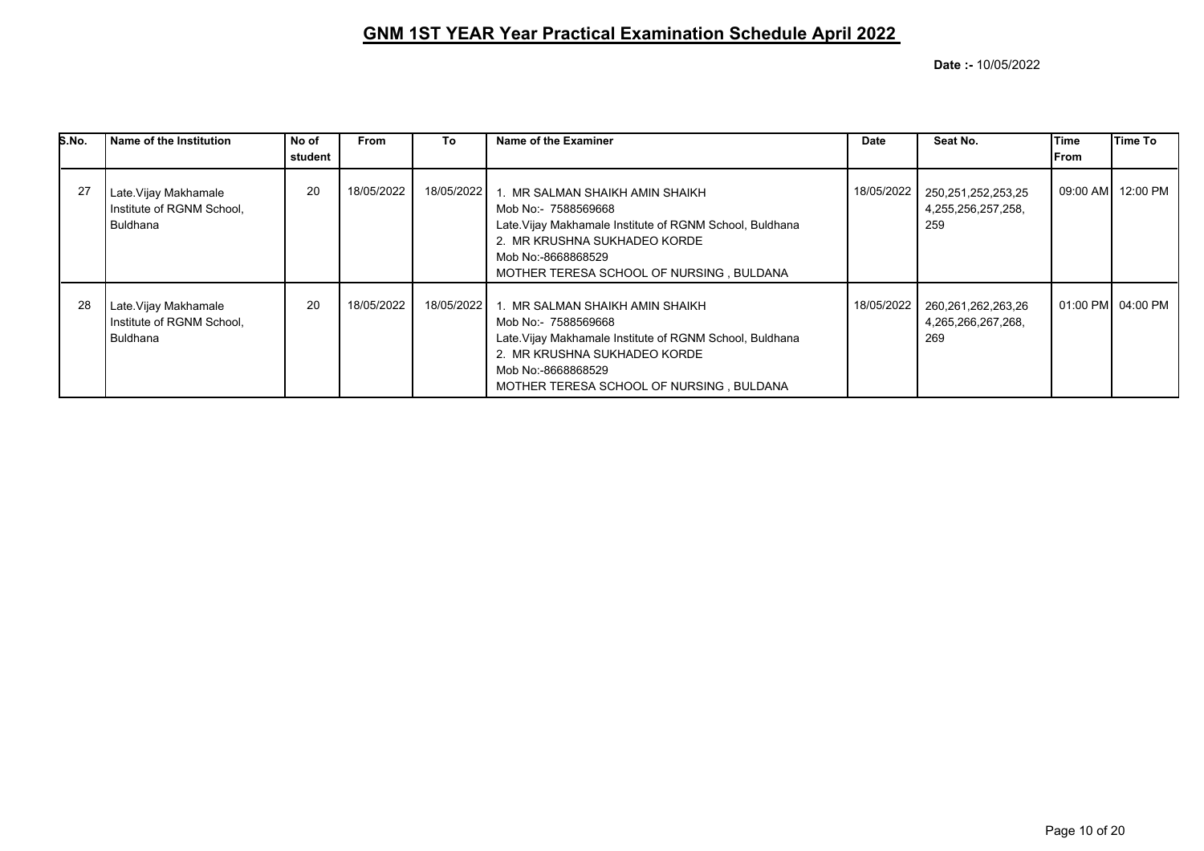| S.No. | Name of the Institution                                               | No of   | <b>From</b> | To           | Name of the Examiner                                                                                                                                                                                                 | <b>Date</b> | Seat No.                                        | Time         | Time To           |
|-------|-----------------------------------------------------------------------|---------|-------------|--------------|----------------------------------------------------------------------------------------------------------------------------------------------------------------------------------------------------------------------|-------------|-------------------------------------------------|--------------|-------------------|
|       |                                                                       | student |             |              |                                                                                                                                                                                                                      |             |                                                 | <b>IFrom</b> |                   |
| 27    | Late. Vijay Makhamale<br>Institute of RGNM School,<br>Buldhana        | 20      | 18/05/2022  | 18/05/2022 1 | I. MR SALMAN SHAIKH AMIN SHAIKH<br>Mob No:- 7588569668<br>Late. Vijay Makhamale Institute of RGNM School, Buldhana<br>2. MR KRUSHNA SUKHADEO KORDE<br>Mob No:-8668868529<br>MOTHER TERESA SCHOOL OF NURSING, BULDANA | 18/05/2022  | 250,251,252,253,25<br>4,255,256,257,258,<br>259 |              | 09:00 AM 12:00 PM |
| 28    | Late. Vijay Makhamale<br>Institute of RGNM School,<br><b>Buldhana</b> | 20      | 18/05/2022  | 18/05/2022   | MR SALMAN SHAIKH AMIN SHAIKH<br>Mob No:- 7588569668<br>Late. Vijay Makhamale Institute of RGNM School, Buldhana<br>2. MR KRUSHNA SUKHADEO KORDE<br>Mob No:-8668868529<br>MOTHER TERESA SCHOOL OF NURSING, BULDANA    | 18/05/2022  | 260,261,262,263,26<br>4,265,266,267,268,<br>269 |              | 01:00 PM 04:00 PM |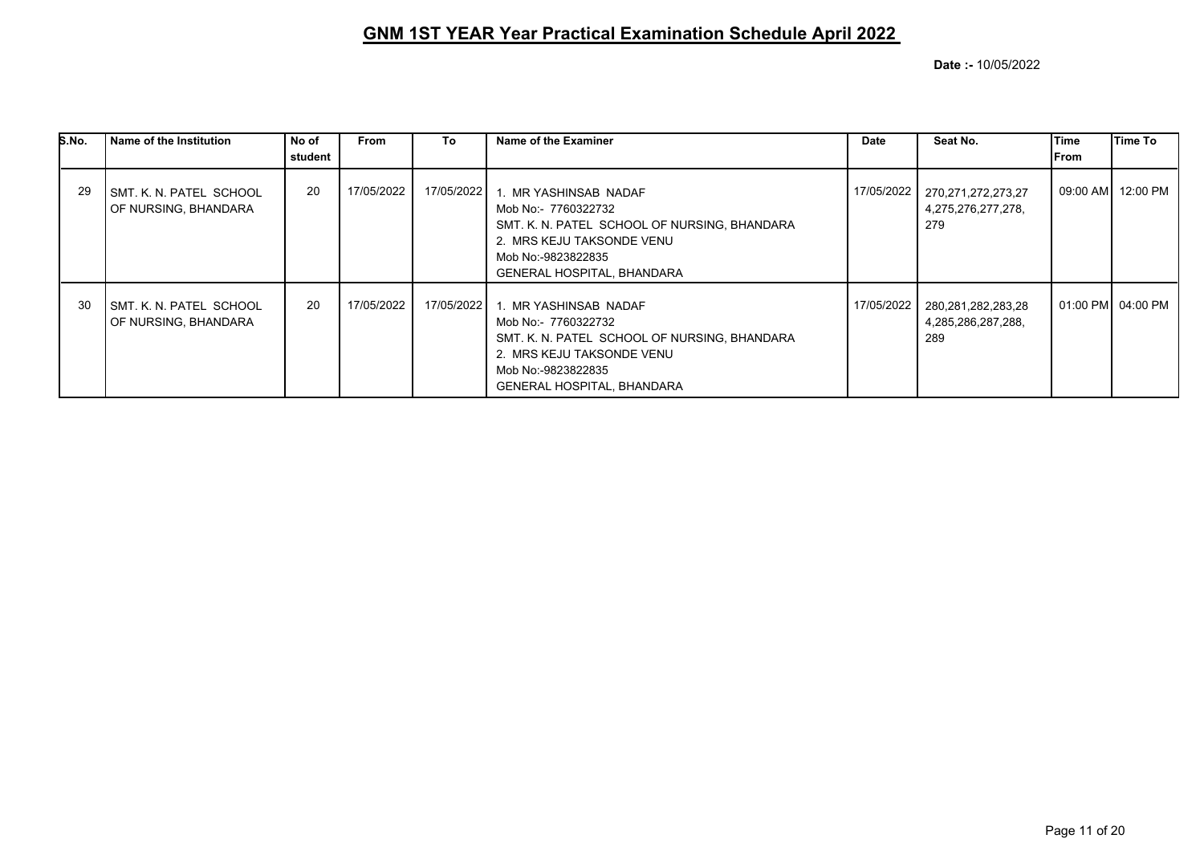| S.No. | Name of the Institution                                | No of   | From       | To         | Name of the Examiner                                                                                                                                                                 | <b>Date</b> | Seat No.                                        | Time         | Time To           |
|-------|--------------------------------------------------------|---------|------------|------------|--------------------------------------------------------------------------------------------------------------------------------------------------------------------------------------|-------------|-------------------------------------------------|--------------|-------------------|
|       |                                                        | student |            |            |                                                                                                                                                                                      |             |                                                 | <b>IFrom</b> |                   |
| -29   | SMT. K. N. PATEL SCHOOL<br>OF NURSING, BHANDARA        | 20      | 17/05/2022 | 17/05/2022 | 1. MR YASHINSAB NADAF<br>Mob No:- 7760322732<br>SMT. K. N. PATEL SCHOOL OF NURSING, BHANDARA<br>2. MRS KEJU TAKSONDE VENU<br>Mob No:-9823822835<br><b>GENERAL HOSPITAL, BHANDARA</b> | 17/05/2022  | 270,271,272,273,27<br>4,275,276,277,278,<br>279 |              | 09:00 AM 12:00 PM |
| 30    | <b>SMT. K. N. PATEL SCHOOL</b><br>OF NURSING, BHANDARA | 20      | 17/05/2022 | 17/05/2022 | 1. MR YASHINSAB NADAF<br>Mob No:- 7760322732<br>SMT. K. N. PATEL SCHOOL OF NURSING, BHANDARA<br>2. MRS KEJU TAKSONDE VENU<br>Mob No:-9823822835<br><b>GENERAL HOSPITAL, BHANDARA</b> | 17/05/2022  | 280,281,282,283,28<br>4,285,286,287,288,<br>289 |              | 01:00 PM 04:00 PM |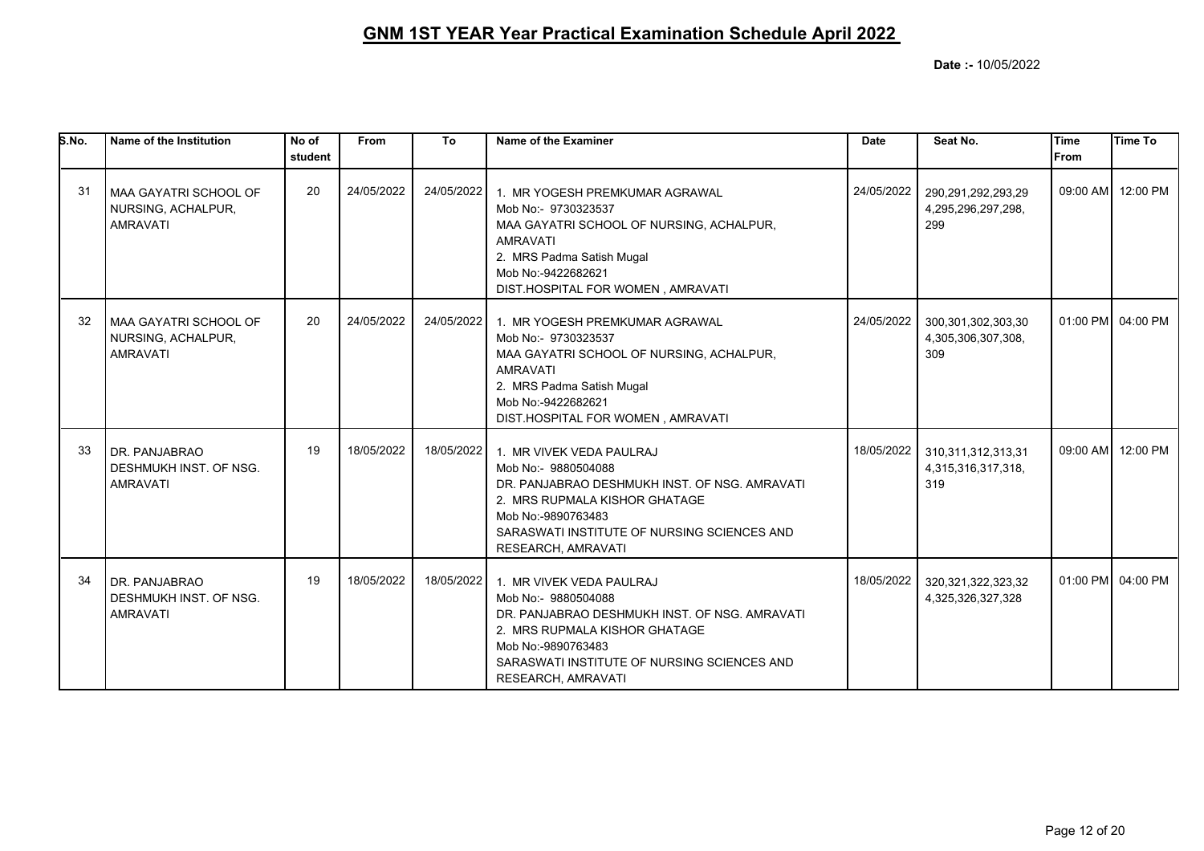| S.No. | Name of the Institution                                             | No of<br>student | <b>From</b> | To         | Name of the Examiner                                                                                                                                                                                                                    | <b>Date</b> | Seat No.                                            | Time<br><b>IFrom</b> | <b>Time To</b>    |
|-------|---------------------------------------------------------------------|------------------|-------------|------------|-----------------------------------------------------------------------------------------------------------------------------------------------------------------------------------------------------------------------------------------|-------------|-----------------------------------------------------|----------------------|-------------------|
| 31    | I MAA GAYATRI SCHOOL OF<br>NURSING, ACHALPUR,<br><b>AMRAVATI</b>    | 20               | 24/05/2022  | 24/05/2022 | 1. MR YOGESH PREMKUMAR AGRAWAL<br>Mob No:- 9730323537<br>MAA GAYATRI SCHOOL OF NURSING, ACHALPUR,<br><b>AMRAVATI</b><br>2. MRS Padma Satish Mugal<br>Mob No:-9422682621<br>DIST.HOSPITAL FOR WOMEN, AMRAVATI                            | 24/05/2022  | 290,291,292,293,29<br>4,295,296,297,298,<br>299     |                      | 09:00 AM 12:00 PM |
| 32    | l MAA GAYATRI SCHOOL OF<br>NURSING, ACHALPUR,<br><b>AMRAVATI</b>    | 20               | 24/05/2022  | 24/05/2022 | 1. MR YOGESH PREMKUMAR AGRAWAL<br>Mob No:- 9730323537<br>MAA GAYATRI SCHOOL OF NURSING, ACHALPUR,<br><b>AMRAVATI</b><br>2. MRS Padma Satish Mugal<br>Mob No:-9422682621<br>DIST.HOSPITAL FOR WOMEN, AMRAVATI                            | 24/05/2022  | 300,301,302,303,30<br>4,305,306,307,308,<br>309     |                      | 01:00 PM 04:00 PM |
| 33    | DR. PANJABRAO<br>DESHMUKH INST. OF NSG.<br><b>AMRAVATI</b>          | 19               | 18/05/2022  |            | 18/05/2022 1. MR VIVEK VEDA PAULRAJ<br>Mob No:- 9880504088<br>DR. PANJABRAO DESHMUKH INST. OF NSG. AMRAVATI<br>2. MRS RUPMALA KISHOR GHATAGE<br>Mob No:-9890763483<br>SARASWATI INSTITUTE OF NURSING SCIENCES AND<br>RESEARCH, AMRAVATI | 18/05/2022  | 310, 311, 312, 313, 31<br>4,315,316,317,318,<br>319 |                      | 09:00 AM 12:00 PM |
| 34    | I DR. PANJABRAO<br><b>DESHMUKH INST. OF NSG.</b><br><b>AMRAVATI</b> | 19               | 18/05/2022  | 18/05/2022 | 1. MR VIVEK VEDA PAULRAJ<br>Mob No:- 9880504088<br>DR. PANJABRAO DESHMUKH INST. OF NSG. AMRAVATI<br>2. MRS RUPMALA KISHOR GHATAGE<br>Mob No:-9890763483<br>SARASWATI INSTITUTE OF NURSING SCIENCES AND<br>RESEARCH, AMRAVATI            | 18/05/2022  | 320, 321, 322, 323, 32<br>4,325,326,327,328         |                      | 01:00 PM 04:00 PM |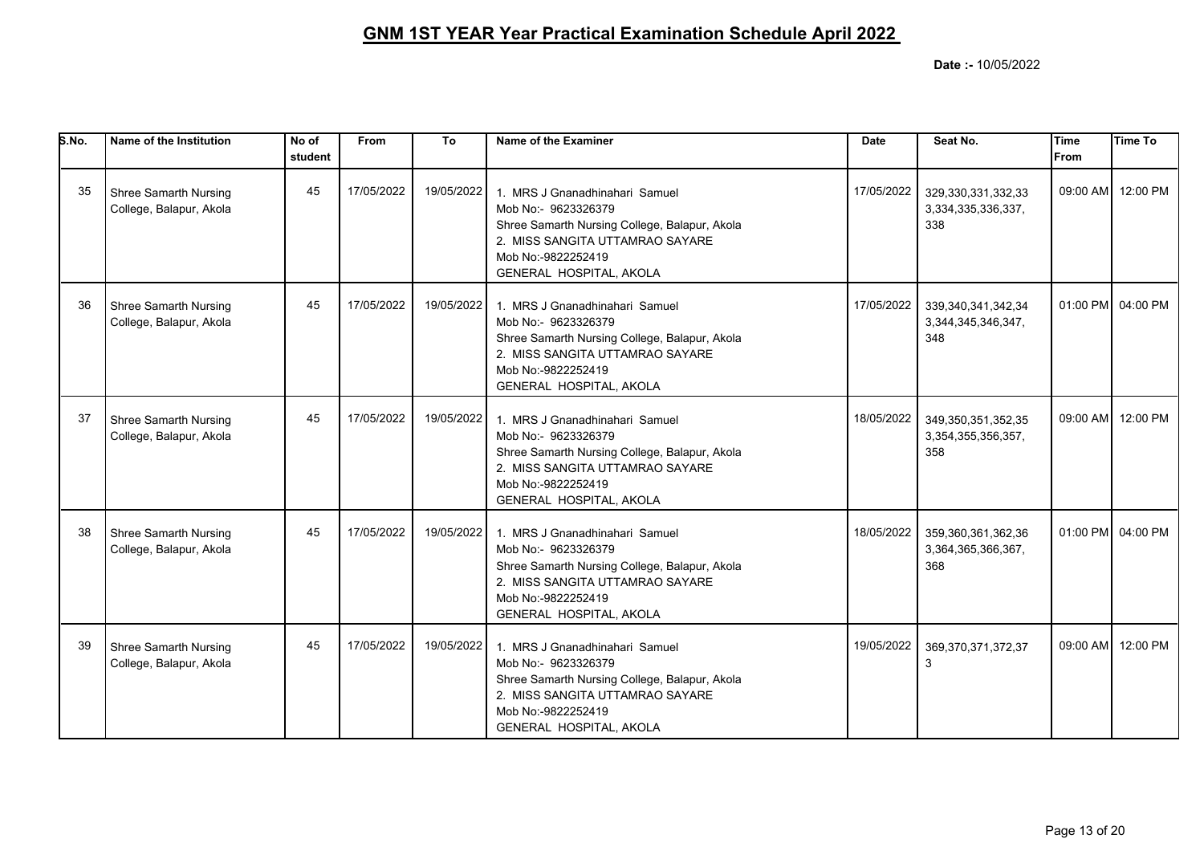| S.No. | Name of the Institution                                 | No of<br>student | From       | To         | Name of the Examiner                                                                                                                                                                       | <b>Date</b> | Seat No.                                            | <b>Time</b><br><b>From</b> | <b>Time To</b>    |
|-------|---------------------------------------------------------|------------------|------------|------------|--------------------------------------------------------------------------------------------------------------------------------------------------------------------------------------------|-------------|-----------------------------------------------------|----------------------------|-------------------|
| 35    | Shree Samarth Nursing<br>College, Balapur, Akola        | 45               | 17/05/2022 | 19/05/2022 | 1. MRS J Gnanadhinahari Samuel<br>Mob No:- 9623326379<br>Shree Samarth Nursing College, Balapur, Akola<br>2. MISS SANGITA UTTAMRAO SAYARE<br>Mob No:-9822252419<br>GENERAL HOSPITAL, AKOLA | 17/05/2022  | 329,330,331,332,33<br>3,334,335,336,337,<br>338     |                            | 09:00 AM 12:00 PM |
| 36    | Shree Samarth Nursing<br>College, Balapur, Akola        | 45               | 17/05/2022 | 19/05/2022 | 1. MRS J Gnanadhinahari Samuel<br>Mob No:- 9623326379<br>Shree Samarth Nursing College, Balapur, Akola<br>2. MISS SANGITA UTTAMRAO SAYARE<br>Mob No:-9822252419<br>GENERAL HOSPITAL, AKOLA | 17/05/2022  | 339, 340, 341, 342, 34<br>3,344,345,346,347,<br>348 |                            | 01:00 PM 04:00 PM |
| 37    | <b>Shree Samarth Nursing</b><br>College, Balapur, Akola | 45               | 17/05/2022 | 19/05/2022 | 1. MRS J Gnanadhinahari Samuel<br>Mob No:- 9623326379<br>Shree Samarth Nursing College, Balapur, Akola<br>2. MISS SANGITA UTTAMRAO SAYARE<br>Mob No:-9822252419<br>GENERAL HOSPITAL, AKOLA | 18/05/2022  | 349,350,351,352,35<br>3,354,355,356,357,<br>358     |                            | 09:00 AM 12:00 PM |
| 38    | Shree Samarth Nursing<br>College, Balapur, Akola        | 45               | 17/05/2022 | 19/05/2022 | 1. MRS J Gnanadhinahari Samuel<br>Mob No:- 9623326379<br>Shree Samarth Nursing College, Balapur, Akola<br>2. MISS SANGITA UTTAMRAO SAYARE<br>Mob No:-9822252419<br>GENERAL HOSPITAL, AKOLA | 18/05/2022  | 359,360,361,362,36<br>3,364,365,366,367,<br>368     |                            | 01:00 PM 04:00 PM |
| 39    | Shree Samarth Nursing<br>College, Balapur, Akola        | 45               | 17/05/2022 | 19/05/2022 | 1. MRS J Gnanadhinahari Samuel<br>Mob No:- 9623326379<br>Shree Samarth Nursing College, Balapur, Akola<br>2. MISS SANGITA UTTAMRAO SAYARE<br>Mob No:-9822252419<br>GENERAL HOSPITAL, AKOLA | 19/05/2022  | 369,370,371,372,37<br>3                             | 09:00 AM                   | 12:00 PM          |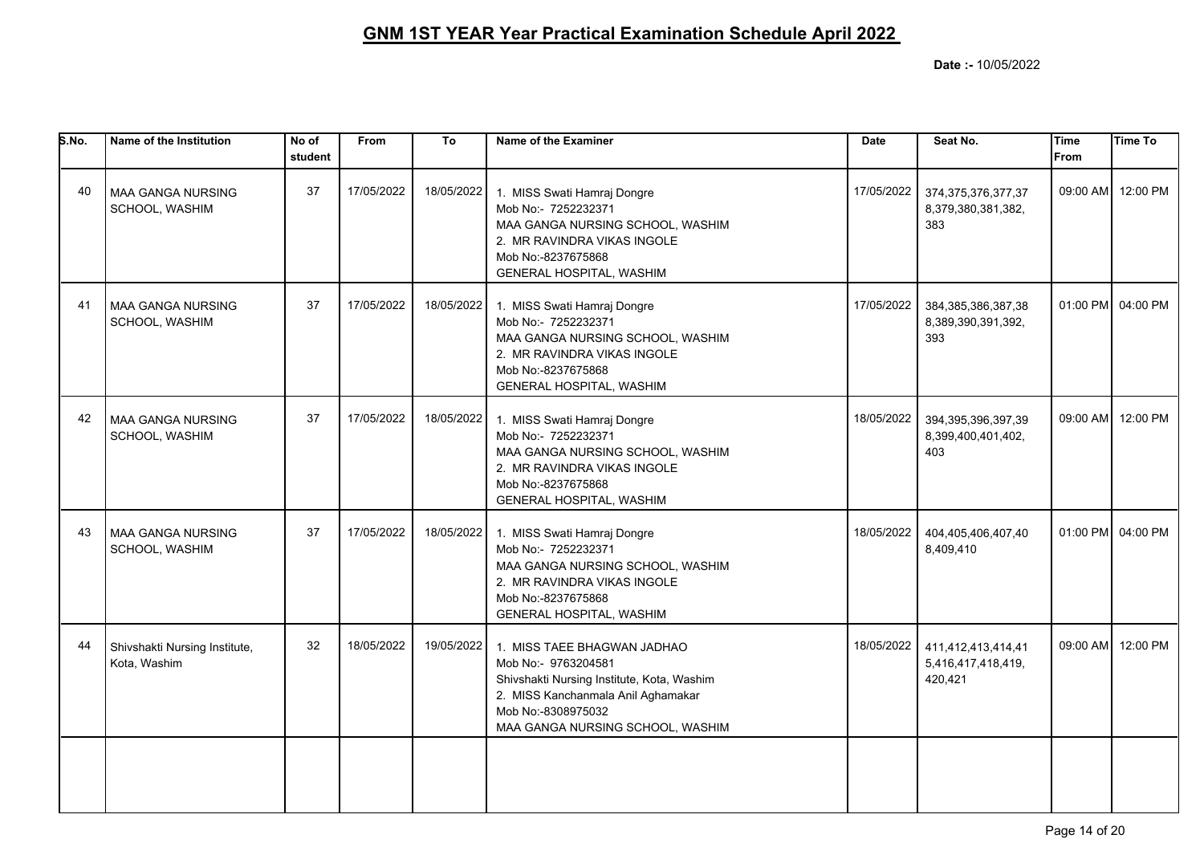| S.No. | Name of the Institution                       | No of<br>student | From       | To         | Name of the Examiner                                                                                                                                                                             | <b>Date</b> | Seat No.                                            | Time<br><b>From</b> | Time To           |
|-------|-----------------------------------------------|------------------|------------|------------|--------------------------------------------------------------------------------------------------------------------------------------------------------------------------------------------------|-------------|-----------------------------------------------------|---------------------|-------------------|
| 40    | <b>MAA GANGA NURSING</b><br>SCHOOL, WASHIM    | 37               | 17/05/2022 | 18/05/2022 | 1. MISS Swati Hamraj Dongre<br>Mob No:- 7252232371<br>MAA GANGA NURSING SCHOOL, WASHIM<br>2. MR RAVINDRA VIKAS INGOLE<br>Mob No:-8237675868<br>GENERAL HOSPITAL, WASHIM                          | 17/05/2022  | 374, 375, 376, 377, 37<br>8,379,380,381,382,<br>383 |                     | 09:00 AM 12:00 PM |
| 41    | <b>MAA GANGA NURSING</b><br>SCHOOL, WASHIM    | 37               | 17/05/2022 | 18/05/2022 | 1. MISS Swati Hamraj Dongre<br>Mob No:- 7252232371<br>MAA GANGA NURSING SCHOOL, WASHIM<br>2. MR RAVINDRA VIKAS INGOLE<br>Mob No:-8237675868<br>GENERAL HOSPITAL, WASHIM                          | 17/05/2022  | 384, 385, 386, 387, 38<br>8,389,390,391,392,<br>393 |                     | 01:00 PM 04:00 PM |
| 42    | <b>MAA GANGA NURSING</b><br>SCHOOL, WASHIM    | 37               | 17/05/2022 | 18/05/2022 | 1. MISS Swati Hamraj Dongre<br>Mob No:- 7252232371<br>MAA GANGA NURSING SCHOOL, WASHIM<br>2. MR RAVINDRA VIKAS INGOLE<br>Mob No:-8237675868<br>GENERAL HOSPITAL, WASHIM                          | 18/05/2022  | 394, 395, 396, 397, 39<br>8,399,400,401,402,<br>403 |                     | 09:00 AM 12:00 PM |
| 43    | MAA GANGA NURSING<br>SCHOOL, WASHIM           | 37               | 17/05/2022 | 18/05/2022 | 1. MISS Swati Hamraj Dongre<br>Mob No:- 7252232371<br>MAA GANGA NURSING SCHOOL, WASHIM<br>2. MR RAVINDRA VIKAS INGOLE<br>Mob No:-8237675868<br>GENERAL HOSPITAL, WASHIM                          | 18/05/2022  | 404,405,406,407,40<br>8,409,410                     |                     | 01:00 PM 04:00 PM |
| 44    | Shivshakti Nursing Institute,<br>Kota, Washim | 32               | 18/05/2022 | 19/05/2022 | 1. MISS TAEE BHAGWAN JADHAO<br>Mob No:- 9763204581<br>Shivshakti Nursing Institute, Kota, Washim<br>2. MISS Kanchanmala Anil Aghamakar<br>Mob No:-8308975032<br>MAA GANGA NURSING SCHOOL, WASHIM | 18/05/2022  | 411,412,413,414,41<br>5,416,417,418,419,<br>420,421 |                     | 09:00 AM 12:00 PM |
|       |                                               |                  |            |            |                                                                                                                                                                                                  |             |                                                     |                     |                   |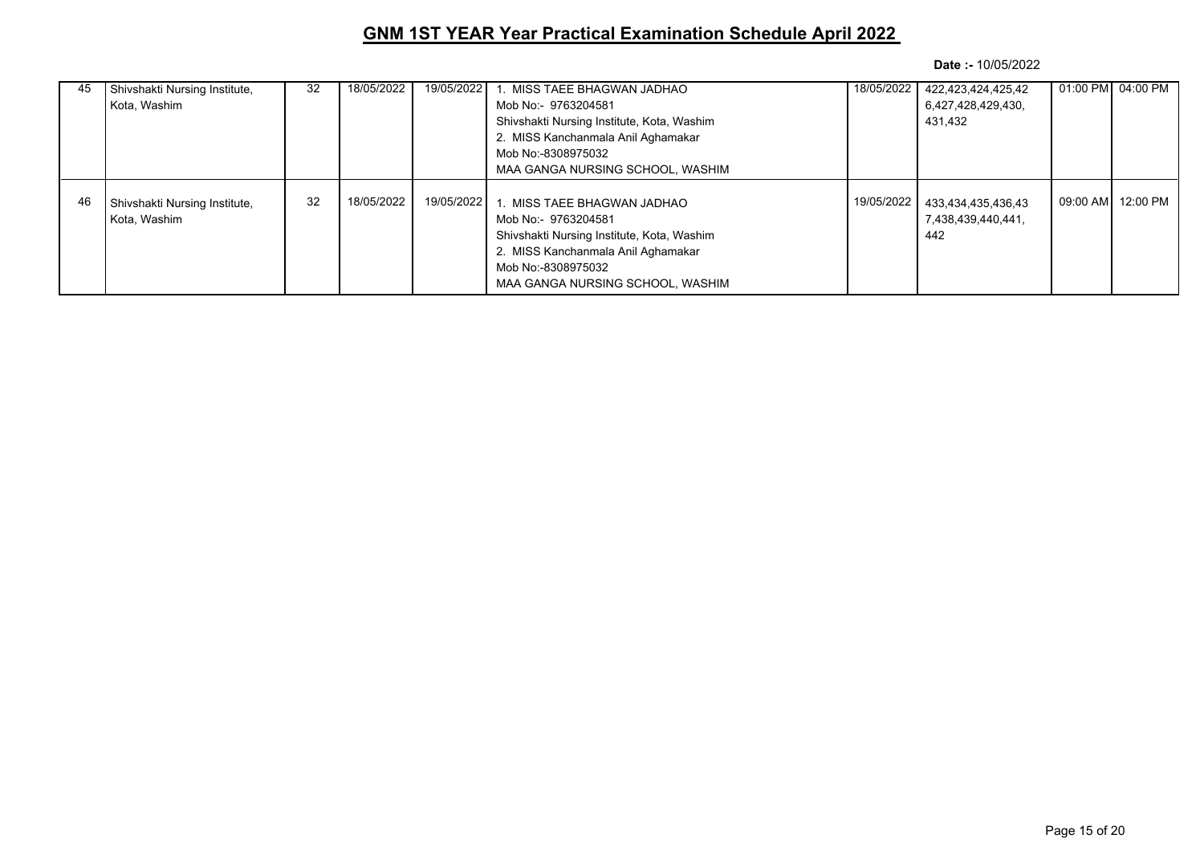| 45 | Shivshakti Nursing Institute,<br>Kota, Washim          | 32 | 18/05/2022 | 19/05/2022   | 1. MISS TAEE BHAGWAN JADHAO<br>Mob No:- 9763204581<br>Shivshakti Nursing Institute, Kota, Washim<br>2. MISS Kanchanmala Anil Aghamakar<br>Mob No:-8308975032<br>MAA GANGA NURSING SCHOOL, WASHIM | 18/05/2022 | 422,423,424,425,42<br>6,427,428,429,430,<br>431,432 | 01:00 PM 04:00 PM  |
|----|--------------------------------------------------------|----|------------|--------------|--------------------------------------------------------------------------------------------------------------------------------------------------------------------------------------------------|------------|-----------------------------------------------------|--------------------|
| 46 | Shivshakti Nursing Institute,<br><b>l</b> Kota. Washim | 32 | 18/05/2022 | 19/05/2022 l | 1. MISS TAEE BHAGWAN JADHAO<br>Mob No:- 9763204581<br>Shivshakti Nursing Institute, Kota, Washim<br>2. MISS Kanchanmala Anil Aghamakar<br>Mob No:-8308975032<br>MAA GANGA NURSING SCHOOL. WASHIM | 19/05/2022 | 433,434,435,436,43<br>7,438,439,440,441,<br>442     | 09:00 AMI 12:00 PM |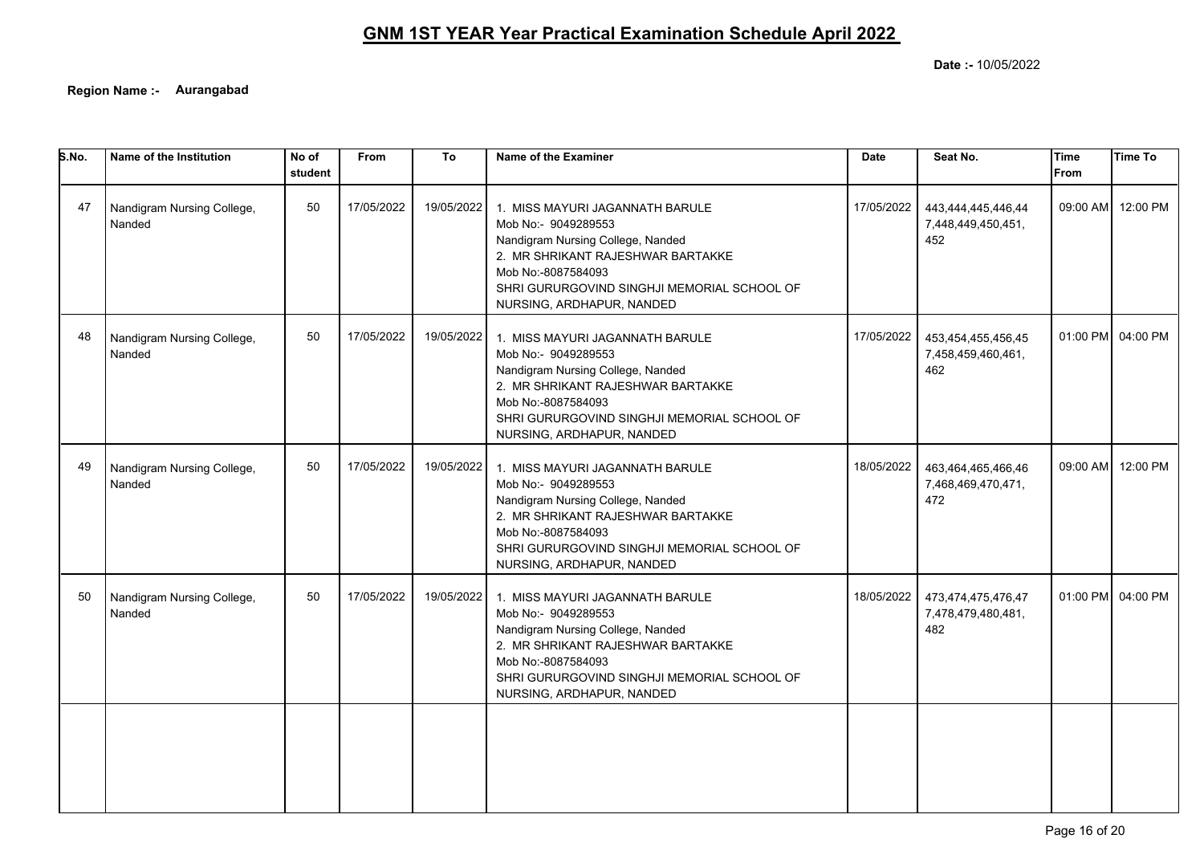**Date :-** 10/05/2022

**Region Name :- Aurangabad**

| 5.No. | Name of the Institution              | No of<br>student | From       | To         | Name of the Examiner                                                                                                                                                                                                               | Date       | Seat No.                                        | <b>Time</b><br>From | <b>Time To</b>    |
|-------|--------------------------------------|------------------|------------|------------|------------------------------------------------------------------------------------------------------------------------------------------------------------------------------------------------------------------------------------|------------|-------------------------------------------------|---------------------|-------------------|
| 47    | Nandigram Nursing College,<br>Nanded | 50               | 17/05/2022 | 19/05/2022 | 1. MISS MAYURI JAGANNATH BARULE<br>Mob No:- 9049289553<br>Nandigram Nursing College, Nanded<br>2. MR SHRIKANT RAJESHWAR BARTAKKE<br>Mob No:-8087584093<br>SHRI GURURGOVIND SINGHJI MEMORIAL SCHOOL OF<br>NURSING, ARDHAPUR, NANDED | 17/05/2022 | 443,444,445,446,44<br>7,448,449,450,451,<br>452 |                     | 09:00 AM 12:00 PM |
| 48    | Nandigram Nursing College,<br>Nanded | 50               | 17/05/2022 | 19/05/2022 | 1. MISS MAYURI JAGANNATH BARULE<br>Mob No:- 9049289553<br>Nandigram Nursing College, Nanded<br>2. MR SHRIKANT RAJESHWAR BARTAKKE<br>Mob No:-8087584093<br>SHRI GURURGOVIND SINGHJI MEMORIAL SCHOOL OF<br>NURSING, ARDHAPUR, NANDED | 17/05/2022 | 453,454,455,456,45<br>7,458,459,460,461,<br>462 |                     | 01:00 PM 04:00 PM |
| 49    | Nandigram Nursing College,<br>Nanded | 50               | 17/05/2022 | 19/05/2022 | 1. MISS MAYURI JAGANNATH BARULE<br>Mob No:- 9049289553<br>Nandigram Nursing College, Nanded<br>2. MR SHRIKANT RAJESHWAR BARTAKKE<br>Mob No:-8087584093<br>SHRI GURURGOVIND SINGHJI MEMORIAL SCHOOL OF<br>NURSING, ARDHAPUR, NANDED | 18/05/2022 | 463,464,465,466,46<br>7,468,469,470,471,<br>472 | 09:00 AM            | 12:00 PM          |
| 50    | Nandigram Nursing College,<br>Nanded | 50               | 17/05/2022 | 19/05/2022 | 1. MISS MAYURI JAGANNATH BARULE<br>Mob No:- 9049289553<br>Nandigram Nursing College, Nanded<br>2. MR SHRIKANT RAJESHWAR BARTAKKE<br>Mob No:-8087584093<br>SHRI GURURGOVIND SINGHJI MEMORIAL SCHOOL OF<br>NURSING, ARDHAPUR, NANDED | 18/05/2022 | 473,474,475,476,47<br>7,478,479,480,481,<br>482 |                     | 01:00 PM 04:00 PM |
|       |                                      |                  |            |            |                                                                                                                                                                                                                                    |            |                                                 |                     |                   |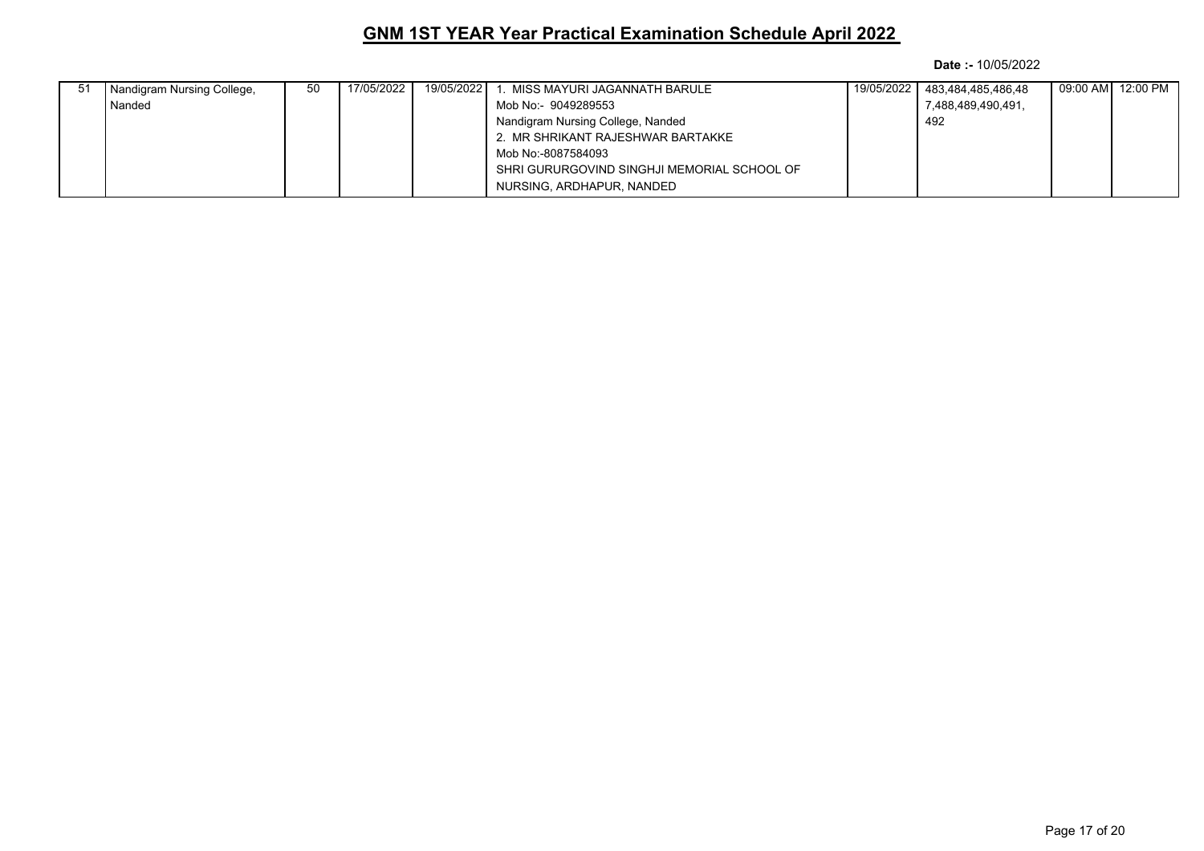| -51 | Nandigram Nursing College, | -50 | 17/05/2022 | 19/05/2022 | . MISS MAYURI JAGANNATH BARULE              | 19/05/2022 483,484,485,486,48 |  |
|-----|----------------------------|-----|------------|------------|---------------------------------------------|-------------------------------|--|
|     | Nanded                     |     |            |            | Mob No:- 9049289553                         | 7,488,489,490,491,            |  |
|     |                            |     |            |            | Nandigram Nursing College, Nanded           | 492                           |  |
|     |                            |     |            |            | 2. MR SHRIKANT RAJESHWAR BARTAKKE           |                               |  |
|     |                            |     |            |            | Mob No:-8087584093                          |                               |  |
|     |                            |     |            |            | SHRI GURURGOVIND SINGHJI MEMORIAL SCHOOL OF |                               |  |
|     |                            |     |            |            | NURSING, ARDHAPUR, NANDED                   |                               |  |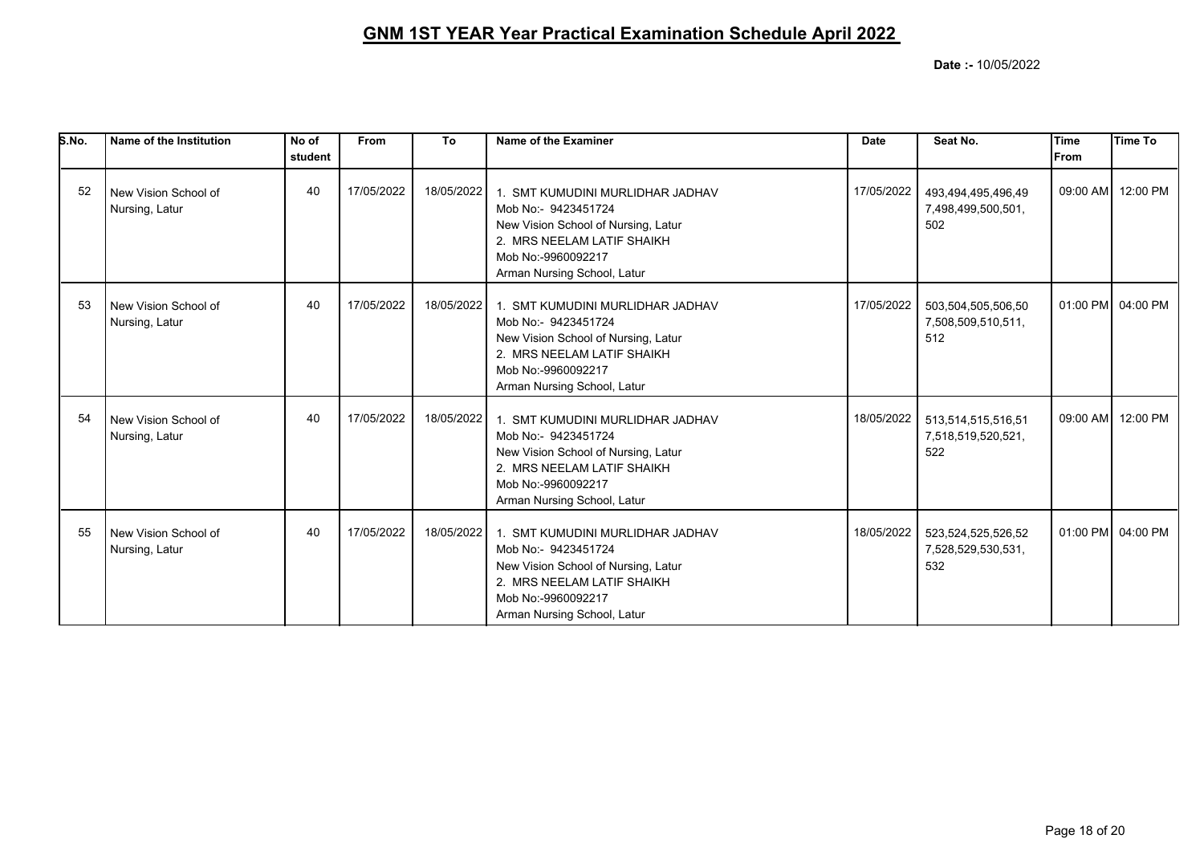| S.No. | Name of the Institution                | No of<br>student | <b>From</b> | To         | Name of the Examiner                                                                                                                                                              | <b>Date</b> | Seat No.                                        | lTime<br><b>IFrom</b> | Time To           |
|-------|----------------------------------------|------------------|-------------|------------|-----------------------------------------------------------------------------------------------------------------------------------------------------------------------------------|-------------|-------------------------------------------------|-----------------------|-------------------|
| 52    | New Vision School of<br>Nursing, Latur | 40               | 17/05/2022  | 18/05/2022 | 1. SMT KUMUDINI MURLIDHAR JADHAV<br>Mob No:- 9423451724<br>New Vision School of Nursing, Latur<br>2. MRS NEELAM LATIF SHAIKH<br>Mob No:-9960092217<br>Arman Nursing School, Latur | 17/05/2022  | 493,494,495,496,49<br>7,498,499,500,501,<br>502 |                       | 09:00 AM 12:00 PM |
| 53    | New Vision School of<br>Nursing, Latur | 40               | 17/05/2022  | 18/05/2022 | 1. SMT KUMUDINI MURLIDHAR JADHAV<br>Mob No:- 9423451724<br>New Vision School of Nursing, Latur<br>2. MRS NEELAM LATIF SHAIKH<br>Mob No:-9960092217<br>Arman Nursing School, Latur | 17/05/2022  | 503,504,505,506,50<br>7,508,509,510,511,<br>512 |                       | 01:00 PM 04:00 PM |
| 54    | New Vision School of<br>Nursing, Latur | 40               | 17/05/2022  | 18/05/2022 | 1. SMT KUMUDINI MURLIDHAR JADHAV<br>Mob No:- 9423451724<br>New Vision School of Nursing, Latur<br>2. MRS NEELAM LATIF SHAIKH<br>Mob No:-9960092217<br>Arman Nursing School, Latur | 18/05/2022  | 513,514,515,516,51<br>7,518,519,520,521,<br>522 |                       | 09:00 AM 12:00 PM |
| 55    | New Vision School of<br>Nursing, Latur | 40               | 17/05/2022  | 18/05/2022 | 1. SMT KUMUDINI MURLIDHAR JADHAV<br>Mob No:- 9423451724<br>New Vision School of Nursing, Latur<br>2. MRS NEELAM LATIF SHAIKH<br>Mob No:-9960092217<br>Arman Nursing School, Latur | 18/05/2022  | 523,524,525,526,52<br>7,528,529,530,531,<br>532 |                       | 01:00 PM 04:00 PM |